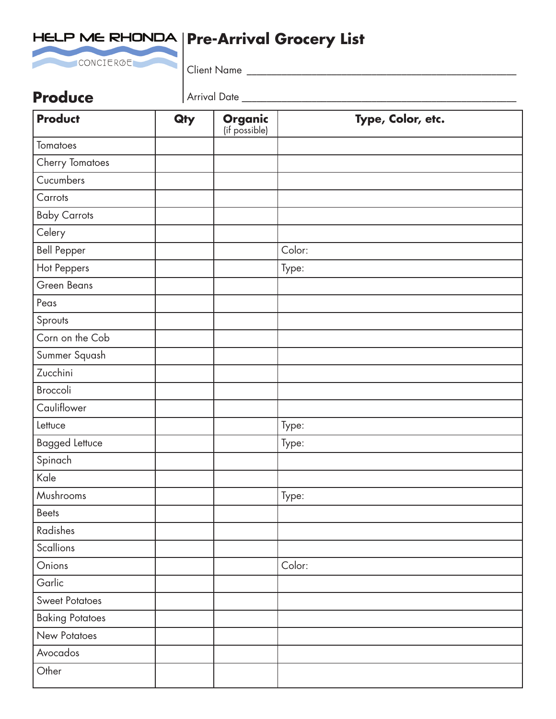

# HELP ME RHONDA | Pre-Arrival Grocery List

Client Name \_\_\_\_\_\_\_\_\_\_\_\_\_\_\_\_\_\_\_\_\_\_\_\_\_\_\_\_\_\_\_\_\_\_\_\_\_\_\_\_\_\_\_\_\_\_\_\_\_\_\_\_\_\_

### **Produce**

Arrival Date \_\_\_\_\_\_\_\_\_\_\_\_\_\_\_\_\_\_\_\_\_\_\_\_\_\_\_\_\_\_\_\_\_\_\_\_\_\_\_\_\_\_\_\_\_\_\_\_\_\_\_\_\_\_\_

| <b>Product</b>         | Qty | <b>Organic</b><br>(if possible) | Type, Color, etc. |
|------------------------|-----|---------------------------------|-------------------|
| Tomatoes               |     |                                 |                   |
| <b>Cherry Tomatoes</b> |     |                                 |                   |
| Cucumbers              |     |                                 |                   |
| Carrots                |     |                                 |                   |
| <b>Baby Carrots</b>    |     |                                 |                   |
| Celery                 |     |                                 |                   |
| <b>Bell Pepper</b>     |     |                                 | Color:            |
| Hot Peppers            |     |                                 | Type:             |
| Green Beans            |     |                                 |                   |
| Peas                   |     |                                 |                   |
| Sprouts                |     |                                 |                   |
| Corn on the Cob        |     |                                 |                   |
| Summer Squash          |     |                                 |                   |
| Zucchini               |     |                                 |                   |
| Broccoli               |     |                                 |                   |
| Cauliflower            |     |                                 |                   |
| Lettuce                |     |                                 | Type:             |
| <b>Bagged Lettuce</b>  |     |                                 | Type:             |
| Spinach                |     |                                 |                   |
| Kale                   |     |                                 |                   |
| Mushrooms              |     |                                 | Type:             |
| Beets                  |     |                                 |                   |
| Radishes               |     |                                 |                   |
| Scallions              |     |                                 |                   |
| Onions                 |     |                                 | Color:            |
| Garlic                 |     |                                 |                   |
| <b>Sweet Potatoes</b>  |     |                                 |                   |
| <b>Baking Potatoes</b> |     |                                 |                   |
| New Potatoes           |     |                                 |                   |
| Avocados               |     |                                 |                   |
| Other                  |     |                                 |                   |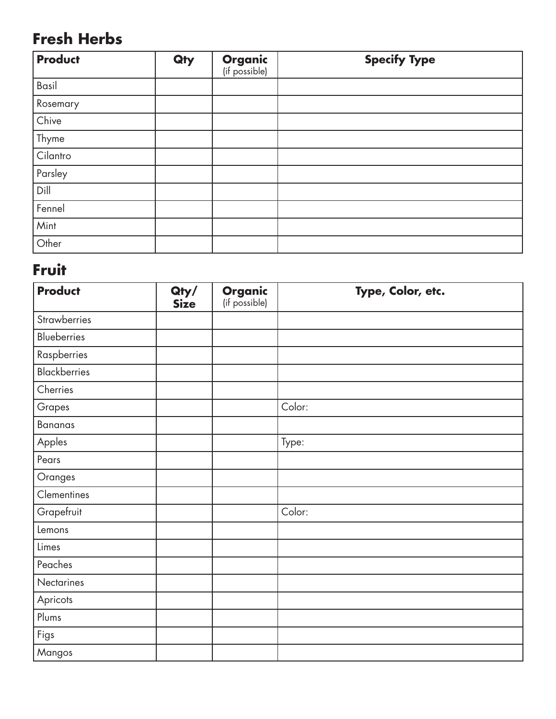# **Fresh Herbs**

| <b>Product</b> | Qty | <b>Organic</b><br>(if possible) | <b>Specify Type</b> |
|----------------|-----|---------------------------------|---------------------|
| Basil          |     |                                 |                     |
| Rosemary       |     |                                 |                     |
| Chive          |     |                                 |                     |
| Thyme          |     |                                 |                     |
| Cilantro       |     |                                 |                     |
| Parsley        |     |                                 |                     |
| Dill           |     |                                 |                     |
| Fennel         |     |                                 |                     |
| Mint           |     |                                 |                     |
| Other          |     |                                 |                     |

#### **Fruit**

| <b>Product</b>      | Qty/<br><b>Size</b> | <b>Organic</b><br>(if possible) | Type, Color, etc. |
|---------------------|---------------------|---------------------------------|-------------------|
| Strawberries        |                     |                                 |                   |
| <b>Blueberries</b>  |                     |                                 |                   |
| Raspberries         |                     |                                 |                   |
| <b>Blackberries</b> |                     |                                 |                   |
| Cherries            |                     |                                 |                   |
| Grapes              |                     |                                 | Color:            |
| <b>Bananas</b>      |                     |                                 |                   |
| Apples              |                     |                                 | Type:             |
| Pears               |                     |                                 |                   |
| Oranges             |                     |                                 |                   |
| Clementines         |                     |                                 |                   |
| Grapefruit          |                     |                                 | Color:            |
| Lemons              |                     |                                 |                   |
| Limes               |                     |                                 |                   |
| Peaches             |                     |                                 |                   |
| Nectarines          |                     |                                 |                   |
| Apricots            |                     |                                 |                   |
| Plums               |                     |                                 |                   |
| Figs                |                     |                                 |                   |
| Mangos              |                     |                                 |                   |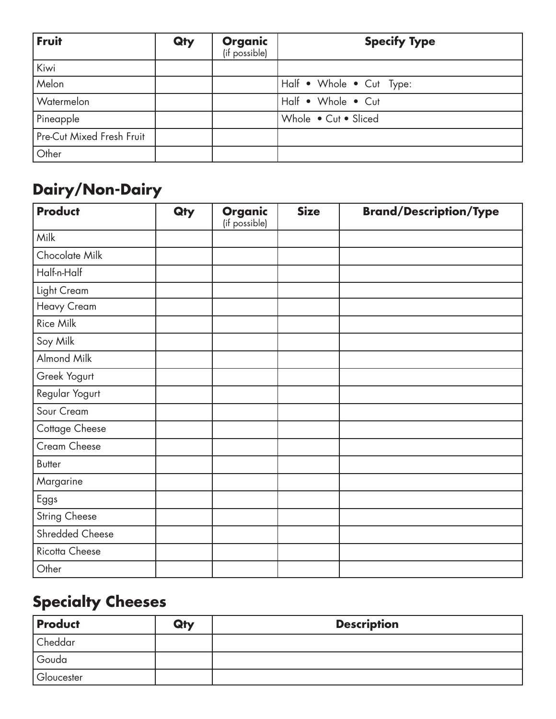| Fruit                     | Qty | <b>Organic</b><br>(if possible) | <b>Specify Type</b>      |
|---------------------------|-----|---------------------------------|--------------------------|
| Kiwi                      |     |                                 |                          |
| Melon                     |     |                                 | Half • Whole • Cut Type: |
| Watermelon                |     |                                 | Half • Whole • Cut       |
| Pineapple                 |     |                                 | Whole • Cut • Sliced     |
| Pre-Cut Mixed Fresh Fruit |     |                                 |                          |
| Other                     |     |                                 |                          |

# **Dairy/Non-Dairy**

| <b>Product</b>       | Qty | <b>Organic</b><br>(if possible) | <b>Size</b> | <b>Brand/Description/Type</b> |
|----------------------|-----|---------------------------------|-------------|-------------------------------|
| Milk                 |     |                                 |             |                               |
| Chocolate Milk       |     |                                 |             |                               |
| Half-n-Half          |     |                                 |             |                               |
| Light Cream          |     |                                 |             |                               |
| Heavy Cream          |     |                                 |             |                               |
| Rice Milk            |     |                                 |             |                               |
| Soy Milk             |     |                                 |             |                               |
| Almond Milk          |     |                                 |             |                               |
| Greek Yogurt         |     |                                 |             |                               |
| Regular Yogurt       |     |                                 |             |                               |
| Sour Cream           |     |                                 |             |                               |
| Cottage Cheese       |     |                                 |             |                               |
| Cream Cheese         |     |                                 |             |                               |
| <b>Butter</b>        |     |                                 |             |                               |
| Margarine            |     |                                 |             |                               |
| Eggs                 |     |                                 |             |                               |
| <b>String Cheese</b> |     |                                 |             |                               |
| Shredded Cheese      |     |                                 |             |                               |
| Ricotta Cheese       |     |                                 |             |                               |
| Other                |     |                                 |             |                               |

# **Specialty Cheeses**

| <b>Product</b> | Qty | <b>Description</b> |
|----------------|-----|--------------------|
| Cheddar        |     |                    |
| Gouda          |     |                    |
| Gloucester     |     |                    |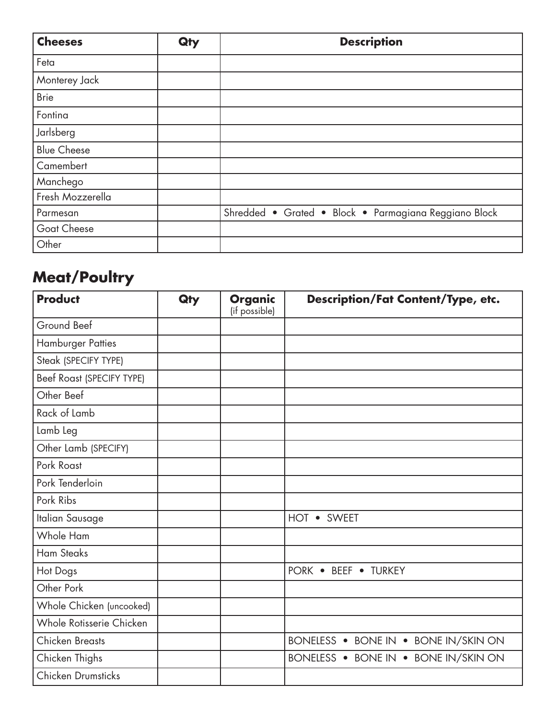| <b>Cheeses</b>     | Qty | <b>Description</b>                                    |
|--------------------|-----|-------------------------------------------------------|
| Feta               |     |                                                       |
| Monterey Jack      |     |                                                       |
| <b>Brie</b>        |     |                                                       |
| Fontina            |     |                                                       |
| Jarlsberg          |     |                                                       |
| <b>Blue Cheese</b> |     |                                                       |
| Camembert          |     |                                                       |
| Manchego           |     |                                                       |
| Fresh Mozzerella   |     |                                                       |
| Parmesan           |     | Shredded • Grated • Block • Parmagiana Reggiano Block |
| Goat Cheese        |     |                                                       |
| Other              |     |                                                       |

# **Meat/Poultry**

| <b>Product</b>            | Qty | <b>Organic</b><br>(if possible) | <b>Description/Fat Content/Type, etc.</b> |
|---------------------------|-----|---------------------------------|-------------------------------------------|
| Ground Beef               |     |                                 |                                           |
| <b>Hamburger Patties</b>  |     |                                 |                                           |
| Steak (SPECIFY TYPE)      |     |                                 |                                           |
| Beef Roast (SPECIFY TYPE) |     |                                 |                                           |
| Other Beef                |     |                                 |                                           |
| Rack of Lamb              |     |                                 |                                           |
| Lamb Leg                  |     |                                 |                                           |
| Other Lamb (SPECIFY)      |     |                                 |                                           |
| Pork Roast                |     |                                 |                                           |
| Pork Tenderloin           |     |                                 |                                           |
| Pork Ribs                 |     |                                 |                                           |
| Italian Sausage           |     |                                 | HOT • SWEET                               |
| Whole Ham                 |     |                                 |                                           |
| <b>Ham Steaks</b>         |     |                                 |                                           |
| Hot Dogs                  |     |                                 | PORK . BEEF . TURKEY                      |
| Other Pork                |     |                                 |                                           |
| Whole Chicken (uncooked)  |     |                                 |                                           |
| Whole Rotisserie Chicken  |     |                                 |                                           |
| <b>Chicken Breasts</b>    |     |                                 | BONELESS . BONE IN . BONE IN/SKIN ON      |
| Chicken Thighs            |     |                                 | BONELESS . BONE IN . BONE IN/SKIN ON      |
| Chicken Drumsticks        |     |                                 |                                           |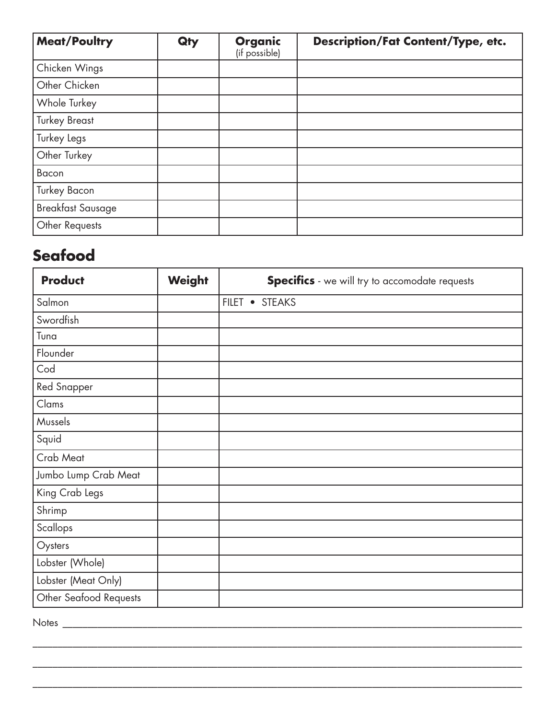| <b>Meat/Poultry</b>      | Qty | <b>Organic</b><br>(if possible) | <b>Description/Fat Content/Type, etc.</b> |
|--------------------------|-----|---------------------------------|-------------------------------------------|
| Chicken Wings            |     |                                 |                                           |
| Other Chicken            |     |                                 |                                           |
| Whole Turkey             |     |                                 |                                           |
| <b>Turkey Breast</b>     |     |                                 |                                           |
| Turkey Legs              |     |                                 |                                           |
| Other Turkey             |     |                                 |                                           |
| Bacon                    |     |                                 |                                           |
| <b>Turkey Bacon</b>      |     |                                 |                                           |
| <b>Breakfast Sausage</b> |     |                                 |                                           |
| Other Requests           |     |                                 |                                           |

#### **Seafood**

| <b>Product</b>         | <b>Weight</b> | <b>Specifics</b> - we will try to accomodate requests |
|------------------------|---------------|-------------------------------------------------------|
| Salmon                 |               | FILET • STEAKS                                        |
| Swordfish              |               |                                                       |
| Tuna                   |               |                                                       |
| Flounder               |               |                                                       |
| Cod                    |               |                                                       |
| <b>Red Snapper</b>     |               |                                                       |
| Clams                  |               |                                                       |
| Mussels                |               |                                                       |
| Squid                  |               |                                                       |
| Crab Meat              |               |                                                       |
| Jumbo Lump Crab Meat   |               |                                                       |
| King Crab Legs         |               |                                                       |
| Shrimp                 |               |                                                       |
| Scallops               |               |                                                       |
| Oysters                |               |                                                       |
| Lobster (Whole)        |               |                                                       |
| Lobster (Meat Only)    |               |                                                       |
| Other Seafood Requests |               |                                                       |

 $\_$  , and the set of the set of the set of the set of the set of the set of the set of the set of the set of the set of the set of the set of the set of the set of the set of the set of the set of the set of the set of th

\_\_\_\_\_\_\_\_\_\_\_\_\_\_\_\_\_\_\_\_\_\_\_\_\_\_\_\_\_\_\_\_\_\_\_\_\_\_\_\_\_\_\_\_\_\_\_\_\_\_\_\_\_\_\_\_\_\_\_\_\_\_\_\_\_\_\_\_\_\_\_\_\_\_\_\_\_\_\_\_\_\_\_\_\_\_\_\_\_\_\_\_\_\_\_\_\_\_

\_\_\_\_\_\_\_\_\_\_\_\_\_\_\_\_\_\_\_\_\_\_\_\_\_\_\_\_\_\_\_\_\_\_\_\_\_\_\_\_\_\_\_\_\_\_\_\_\_\_\_\_\_\_\_\_\_\_\_\_\_\_\_\_\_\_\_\_\_\_\_\_\_\_\_\_\_\_\_\_\_\_\_\_\_\_\_\_\_\_\_\_\_\_\_\_\_\_

Notes \_\_\_\_\_\_\_\_\_\_\_\_\_\_\_\_\_\_\_\_\_\_\_\_\_\_\_\_\_\_\_\_\_\_\_\_\_\_\_\_\_\_\_\_\_\_\_\_\_\_\_\_\_\_\_\_\_\_\_\_\_\_\_\_\_\_\_\_\_\_\_\_\_\_\_\_\_\_\_\_\_\_\_\_\_\_\_\_\_\_\_\_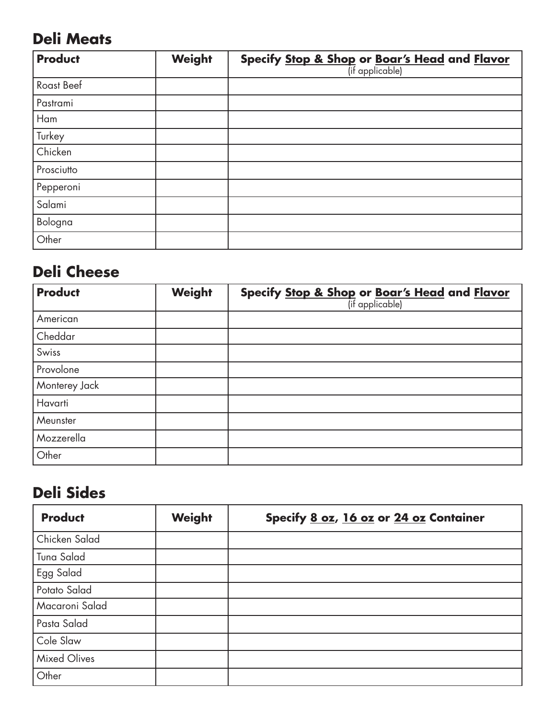# **Deli Meats**

| <b>Product</b> | Weight | <b>Specify <u>Stop &amp; Shop</u> or <u>Boar's Head</u> and Flavor</b> |
|----------------|--------|------------------------------------------------------------------------|
| Roast Beef     |        |                                                                        |
| Pastrami       |        |                                                                        |
| Ham            |        |                                                                        |
| Turkey         |        |                                                                        |
| Chicken        |        |                                                                        |
| Prosciutto     |        |                                                                        |
| Pepperoni      |        |                                                                        |
| Salami         |        |                                                                        |
| Bologna        |        |                                                                        |
| Other          |        |                                                                        |

### **Deli Cheese**

| <b>Product</b> | Weight | <b>Specify <u>Stop &amp; Shop</u> or <u>Boar's Head</u> and Flavor</b> |
|----------------|--------|------------------------------------------------------------------------|
| American       |        |                                                                        |
| Cheddar        |        |                                                                        |
| Swiss          |        |                                                                        |
| Provolone      |        |                                                                        |
| Monterey Jack  |        |                                                                        |
| Havarti        |        |                                                                        |
| Meunster       |        |                                                                        |
| Mozzerella     |        |                                                                        |
| Other          |        |                                                                        |

# **Deli Sides**

| <b>Product</b> | Weight | Specify 8 oz, 16 oz or 24 oz Container |
|----------------|--------|----------------------------------------|
| Chicken Salad  |        |                                        |
| Tuna Salad     |        |                                        |
| Egg Salad      |        |                                        |
| Potato Salad   |        |                                        |
| Macaroni Salad |        |                                        |
| Pasta Salad    |        |                                        |
| Cole Slaw      |        |                                        |
| Mixed Olives   |        |                                        |
| Other          |        |                                        |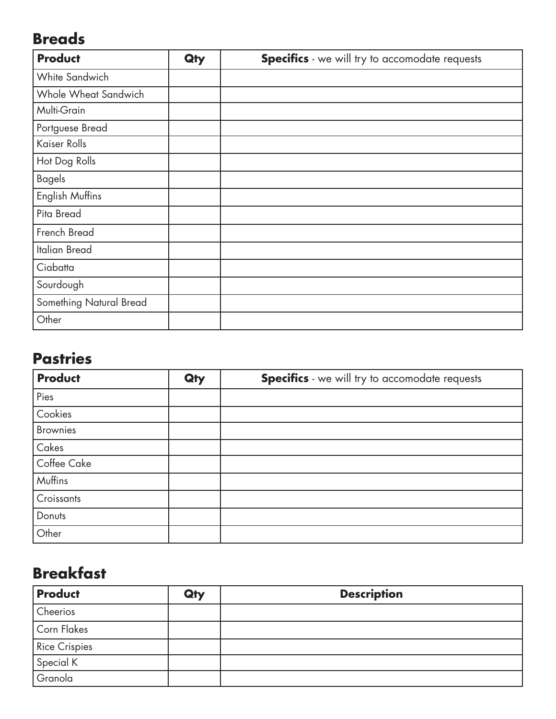### **Breads**

| <b>Product</b>          | Qty | <b>Specifics</b> - we will try to accomodate requests |
|-------------------------|-----|-------------------------------------------------------|
| White Sandwich          |     |                                                       |
| Whole Wheat Sandwich    |     |                                                       |
| Multi-Grain             |     |                                                       |
| Portguese Bread         |     |                                                       |
| Kaiser Rolls            |     |                                                       |
| Hot Dog Rolls           |     |                                                       |
| <b>Bagels</b>           |     |                                                       |
| English Muffins         |     |                                                       |
| Pita Bread              |     |                                                       |
| French Bread            |     |                                                       |
| Italian Bread           |     |                                                       |
| Ciabatta                |     |                                                       |
| Sourdough               |     |                                                       |
| Something Natural Bread |     |                                                       |
| Other                   |     |                                                       |

#### **Pastries**

| <b>Product</b>  | Qty | <b>Specifics</b> - we will try to accomodate requests |
|-----------------|-----|-------------------------------------------------------|
| Pies            |     |                                                       |
| Cookies         |     |                                                       |
| <b>Brownies</b> |     |                                                       |
| Cakes           |     |                                                       |
| Coffee Cake     |     |                                                       |
| Muffins         |     |                                                       |
| Croissants      |     |                                                       |
| Donuts          |     |                                                       |
| Other           |     |                                                       |

# **Breakfast**

| <b>Product</b>       | Qty | <b>Description</b> |
|----------------------|-----|--------------------|
| Cheerios             |     |                    |
| Corn Flakes          |     |                    |
| <b>Rice Crispies</b> |     |                    |
| Special K            |     |                    |
| Granola              |     |                    |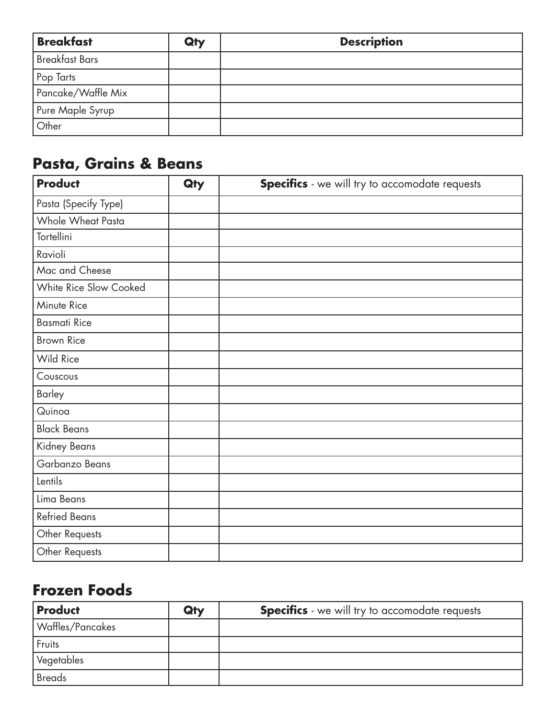| <b>Breakfast</b>      | Qty | <b>Description</b> |
|-----------------------|-----|--------------------|
| <b>Breakfast Bars</b> |     |                    |
| Pop Tarts             |     |                    |
| Pancake/Waffle Mix    |     |                    |
| Pure Maple Syrup      |     |                    |
| Other                 |     |                    |

# **Pasta, Grains & Beans**

| <b>Product</b>         | Qty | <b>Specifics</b> - we will try to accomodate requests |
|------------------------|-----|-------------------------------------------------------|
| Pasta (Specify Type)   |     |                                                       |
| Whole Wheat Pasta      |     |                                                       |
| Tortellini             |     |                                                       |
| Ravioli                |     |                                                       |
| Mac and Cheese         |     |                                                       |
| White Rice Slow Cooked |     |                                                       |
| Minute Rice            |     |                                                       |
| <b>Basmati Rice</b>    |     |                                                       |
| <b>Brown Rice</b>      |     |                                                       |
| <b>Wild Rice</b>       |     |                                                       |
| Couscous               |     |                                                       |
| <b>Barley</b>          |     |                                                       |
| Quinoa                 |     |                                                       |
| <b>Black Beans</b>     |     |                                                       |
| Kidney Beans           |     |                                                       |
| Garbanzo Beans         |     |                                                       |
| Lentils                |     |                                                       |
| Lima Beans             |     |                                                       |
| <b>Refried Beans</b>   |     |                                                       |
| Other Requests         |     |                                                       |
| Other Requests         |     |                                                       |

# **Frozen Foods**

| <b>Product</b>   | Qty | <b>Specifics</b> - we will try to accomodate requests |
|------------------|-----|-------------------------------------------------------|
| Waffles/Pancakes |     |                                                       |
| Fruits           |     |                                                       |
| Vegetables       |     |                                                       |
| <b>Breads</b>    |     |                                                       |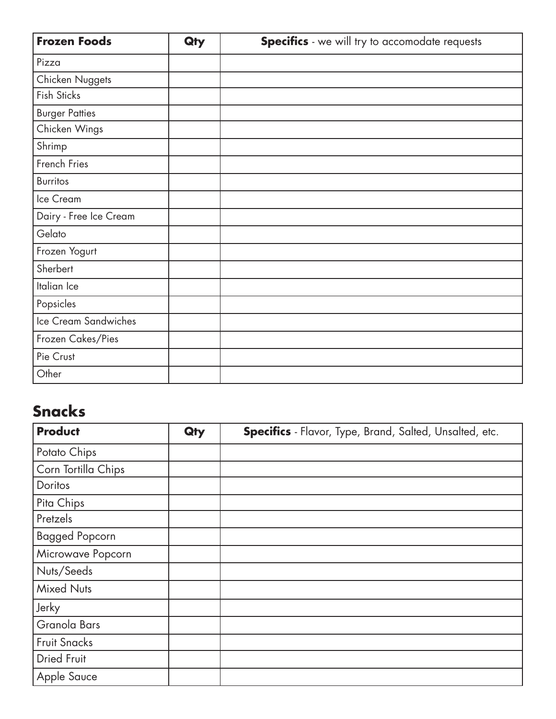| <b>Frozen Foods</b>    | Qty | <b>Specifics</b> - we will try to accomodate requests |
|------------------------|-----|-------------------------------------------------------|
| Pizza                  |     |                                                       |
| Chicken Nuggets        |     |                                                       |
| Fish Sticks            |     |                                                       |
| <b>Burger Patties</b>  |     |                                                       |
| Chicken Wings          |     |                                                       |
| Shrimp                 |     |                                                       |
| French Fries           |     |                                                       |
| <b>Burritos</b>        |     |                                                       |
| Ice Cream              |     |                                                       |
| Dairy - Free Ice Cream |     |                                                       |
| Gelato                 |     |                                                       |
| Frozen Yogurt          |     |                                                       |
| Sherbert               |     |                                                       |
| Italian Ice            |     |                                                       |
| Popsicles              |     |                                                       |
| Ice Cream Sandwiches   |     |                                                       |
| Frozen Cakes/Pies      |     |                                                       |
| Pie Crust              |     |                                                       |
| Other                  |     |                                                       |

# **Snacks**

| <b>Product</b>        | Qty | <b>Specifics</b> - Flavor, Type, Brand, Salted, Unsalted, etc. |
|-----------------------|-----|----------------------------------------------------------------|
| Potato Chips          |     |                                                                |
| Corn Tortilla Chips   |     |                                                                |
| Doritos               |     |                                                                |
| Pita Chips            |     |                                                                |
| Pretzels              |     |                                                                |
| <b>Bagged Popcorn</b> |     |                                                                |
| Microwave Popcorn     |     |                                                                |
| Nuts/Seeds            |     |                                                                |
| <b>Mixed Nuts</b>     |     |                                                                |
| Jerky                 |     |                                                                |
| Granola Bars          |     |                                                                |
| <b>Fruit Snacks</b>   |     |                                                                |
| <b>Dried Fruit</b>    |     |                                                                |
| Apple Sauce           |     |                                                                |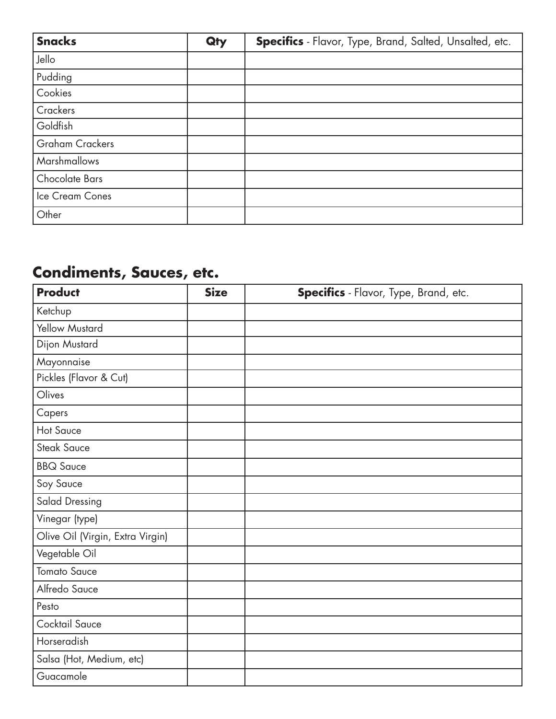| <b>Snacks</b>          | Qty | Specifics - Flavor, Type, Brand, Salted, Unsalted, etc. |
|------------------------|-----|---------------------------------------------------------|
| Jello                  |     |                                                         |
| Pudding                |     |                                                         |
| Cookies                |     |                                                         |
| Crackers               |     |                                                         |
| Goldfish               |     |                                                         |
| <b>Graham Crackers</b> |     |                                                         |
| <b>Marshmallows</b>    |     |                                                         |
| Chocolate Bars         |     |                                                         |
| Ice Cream Cones        |     |                                                         |
| Other                  |     |                                                         |

# **Condiments, Sauces, etc.**

| <b>Product</b>                   | <b>Size</b> | Specifics - Flavor, Type, Brand, etc. |
|----------------------------------|-------------|---------------------------------------|
| Ketchup                          |             |                                       |
| <b>Yellow Mustard</b>            |             |                                       |
| Dijon Mustard                    |             |                                       |
| Mayonnaise                       |             |                                       |
| Pickles (Flavor & Cut)           |             |                                       |
| Olives                           |             |                                       |
| Capers                           |             |                                       |
| <b>Hot Sauce</b>                 |             |                                       |
| <b>Steak Sauce</b>               |             |                                       |
| <b>BBQ Sauce</b>                 |             |                                       |
| Soy Sauce                        |             |                                       |
| <b>Salad Dressing</b>            |             |                                       |
| Vinegar (type)                   |             |                                       |
| Olive Oil (Virgin, Extra Virgin) |             |                                       |
| Vegetable Oil                    |             |                                       |
| <b>Tomato Sauce</b>              |             |                                       |
| Alfredo Sauce                    |             |                                       |
| Pesto                            |             |                                       |
| Cocktail Sauce                   |             |                                       |
| Horseradish                      |             |                                       |
| Salsa (Hot, Medium, etc)         |             |                                       |
| Guacamole                        |             |                                       |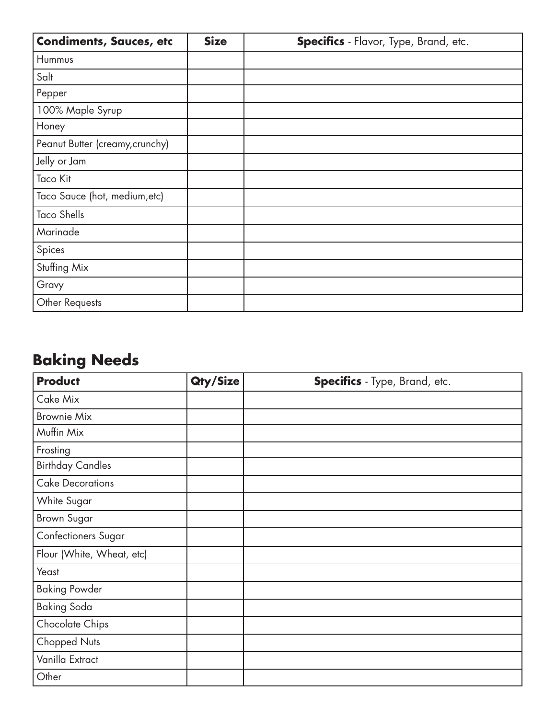| <b>Condiments, Sauces, etc</b>  | <b>Size</b> | <b>Specifics</b> - Flavor, Type, Brand, etc. |
|---------------------------------|-------------|----------------------------------------------|
| Hummus                          |             |                                              |
| Salt                            |             |                                              |
| Pepper                          |             |                                              |
| 100% Maple Syrup                |             |                                              |
| Honey                           |             |                                              |
| Peanut Butter (creamy, crunchy) |             |                                              |
| Jelly or Jam                    |             |                                              |
| <b>Taco Kit</b>                 |             |                                              |
| Taco Sauce (hot, medium, etc)   |             |                                              |
| <b>Taco Shells</b>              |             |                                              |
| Marinade                        |             |                                              |
| Spices                          |             |                                              |
| Stuffing Mix                    |             |                                              |
| Gravy                           |             |                                              |
| Other Requests                  |             |                                              |

# **Baking Needs**

| <b>Product</b>             | Qty/Size | Specifics - Type, Brand, etc. |
|----------------------------|----------|-------------------------------|
| Cake Mix                   |          |                               |
| <b>Brownie Mix</b>         |          |                               |
| Muffin Mix                 |          |                               |
| Frosting                   |          |                               |
| <b>Birthday Candles</b>    |          |                               |
| <b>Cake Decorations</b>    |          |                               |
| White Sugar                |          |                               |
| <b>Brown Sugar</b>         |          |                               |
| <b>Confectioners Sugar</b> |          |                               |
| Flour (White, Wheat, etc)  |          |                               |
| Yeast                      |          |                               |
| <b>Baking Powder</b>       |          |                               |
| <b>Baking Soda</b>         |          |                               |
| Chocolate Chips            |          |                               |
| Chopped Nuts               |          |                               |
| Vanilla Extract            |          |                               |
| Other                      |          |                               |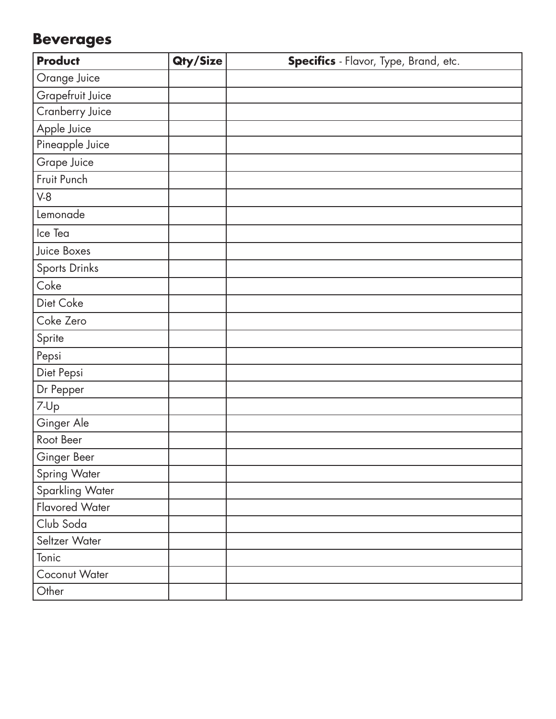# **Beverages**

| <b>Product</b>         | Qty/Size | Specifics - Flavor, Type, Brand, etc. |
|------------------------|----------|---------------------------------------|
| Orange Juice           |          |                                       |
| Grapefruit Juice       |          |                                       |
| <b>Cranberry Juice</b> |          |                                       |
| Apple Juice            |          |                                       |
| Pineapple Juice        |          |                                       |
| Grape Juice            |          |                                       |
| Fruit Punch            |          |                                       |
| $V-8$                  |          |                                       |
| Lemonade               |          |                                       |
| Ice Tea                |          |                                       |
| Juice Boxes            |          |                                       |
| Sports Drinks          |          |                                       |
| Coke                   |          |                                       |
| Diet Coke              |          |                                       |
| Coke Zero              |          |                                       |
| Sprite                 |          |                                       |
| Pepsi                  |          |                                       |
| Diet Pepsi             |          |                                       |
| Dr Pepper              |          |                                       |
| 7-Up                   |          |                                       |
| Ginger Ale             |          |                                       |
| Root Beer              |          |                                       |
| Ginger Beer            |          |                                       |
| Spring Water           |          |                                       |
| Sparkling Water        |          |                                       |
| Flavored Water         |          |                                       |
| Club Soda              |          |                                       |
| Seltzer Water          |          |                                       |
| Tonic                  |          |                                       |
| Coconut Water          |          |                                       |
| Other                  |          |                                       |